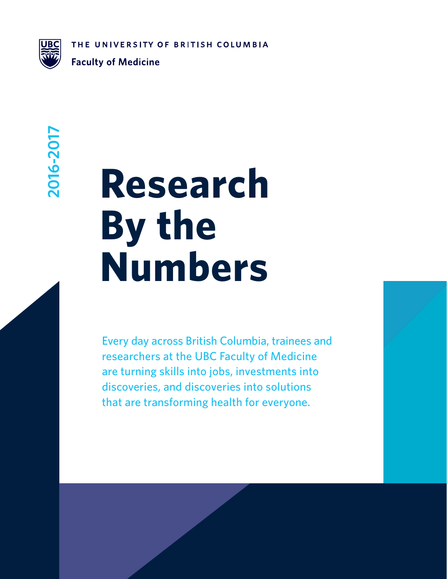THE UNIVERSITY OF BRITISH COLUMBIA



**Faculty of Medicine** 

## 2016-2017 **2016-2017**

# **Research By the Numbers**

Every day across British Columbia, trainees and researchers at the UBC Faculty of Medicine are turning skills into jobs, investments into discoveries, and discoveries into solutions that are transforming health for everyone.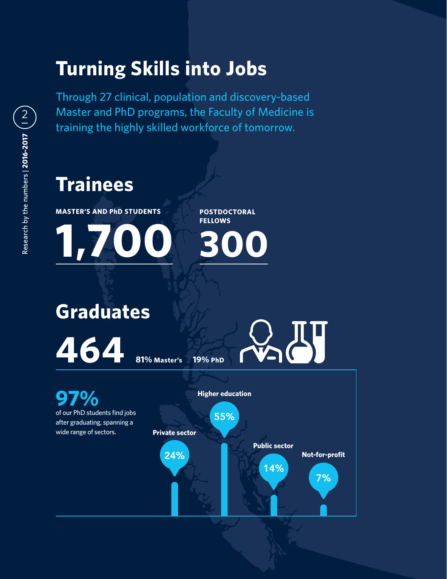#### **Turning Skills into Jobs**

Through 27 clinical, population and discovery-based Master and PhD programs, the Faculty of Medicine is training the highly skilled workforce of tomorrow.

#### **Trainees**

**MASTER'S AND PhD STUDENTS**

**1,700**

**POSTDOCTORAL FELLOWS 300**

**97% Higher education Graduates 464** 81% Master's 19% PhD

of our PhD students find jobs after graduating, spanning a wide range of sectors. **Private sector**

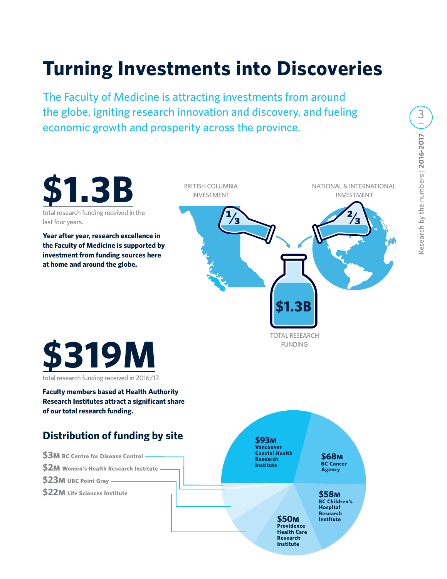### **Turning Investments into Discoveries**

The Faculty of Medicine is attracting investments from around the globe, igniting research innovation and discovery, and fueling economic growth and prosperity across the province.